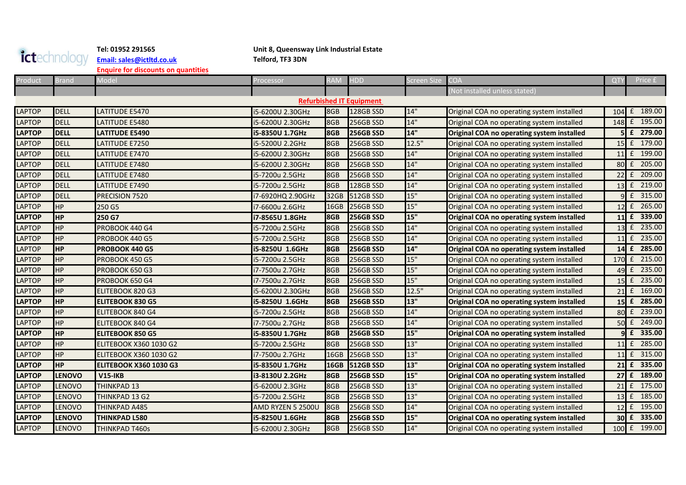## ictechnology **[Email: sales@ictltd.co.uk](mailto:sales@ictltd.co.uk)**

## **Tel: 01952 291565 Unit 8, Queensway Link Industrial Estate**

**Enquire for discounts on quantities**

| Product       | Brand         | Model                         | Processor         | <b>RAM</b>  | <b>HDD</b>                      | Screen Size | <b>COA</b>                                 | QT              | Price £          |
|---------------|---------------|-------------------------------|-------------------|-------------|---------------------------------|-------------|--------------------------------------------|-----------------|------------------|
|               |               |                               |                   |             |                                 |             | (Not installed unless stated)              |                 |                  |
|               |               |                               |                   |             | <b>Refurbished IT Equipment</b> |             |                                            |                 |                  |
| <b>LAPTOP</b> | <b>DELL</b>   | LATITUDE E5470                | 5-6200U 2.30GHz   | 8GB         | 128GB SSD                       | 14"         | Original COA no operating system installed | $104 \text{ f}$ | 189.00           |
| <b>LAPTOP</b> | <b>DELL</b>   | LATITUDE E5480                | i5-6200U 2.30GHz  | 8GB         | 256GB SSD                       | 14"         | Original COA no operating system installed |                 | 148 £ 195.00     |
| <b>LAPTOP</b> | <b>DELL</b>   | <b>LATITUDE E5490</b>         | i5-8350U 1.7GHz   | 8GB         | <b>256GB SSD</b>                | 14"         | Original COA no operating system installed |                 | 5 £ 279.00       |
| <b>LAPTOP</b> | <b>DELL</b>   | LATITUDE E7250                | i5-5200U 2.2GHz   | 8GB         | 256GB SSD                       | 12.5"       | Original COA no operating system installed |                 | 15 £ 179.00      |
| <b>LAPTOP</b> | <b>DELL</b>   | LATITUDE E7470                | 5-6200U 2.30GHz   | 8GB         | 256GB SSD                       | 14"         | Original COA no operating system installed | 11              | £ 199.00         |
| <b>LAPTOP</b> | <b>DELL</b>   | LATITUDE E7480                | 5-6200U 2.30GHz   | 8GB         | 256GB SSD                       | 14"         | Original COA no operating system installed |                 | 80 £ 205.00      |
| <b>LAPTOP</b> | <b>DELL</b>   | LATITUDE E7480                | i5-7200u 2.5GHz   | 8GB         | 256GB SSD                       | 14"         | Original COA no operating system installed | $22$ $f$        | 209.00           |
| <b>LAPTOP</b> | <b>DELL</b>   | LATITUDE E7490                | i5-7200u 2.5GHz   | 8GB         | 128GB SSD                       | 14"         | Original COA no operating system installed |                 | 13 £ 219.00      |
| <b>LAPTOP</b> | <b>DELL</b>   | PRECISION 7520                | i7-6920HQ 2.90GHz | 32GB        | 512GB SSD                       | 15"         | Original COA no operating system installed |                 | £ 315.00         |
| <b>LAPTOP</b> | HP            | 250 G5                        | i7-6600u 2.6GHz   | 16GB        | 256GB SSD                       | 15"         | Original COA no operating system installed |                 | 12 £ 265.00      |
| <b>LAPTOP</b> | <b>HP</b>     | 250 G7                        | i7-8565U 1.8GHz   | 8GB         | <b>256GB SSD</b>                | 15"         | Original COA no operating system installed |                 | 11 £ 339.00      |
| <b>LAPTOP</b> | HP            | PROBOOK 440 G4                | i5-7200u 2.5GHz   | 8GB         | 256GB SSD                       | 14"         | Original COA no operating system installed |                 | 13 £ 235.00      |
| <b>LAPTOP</b> | <b>HP</b>     | PROBOOK 440 G5                | i5-7200u 2.5GHz   | 8GB         | 256GB SSD                       | 14"         | Original COA no operating system installed |                 | 11 £ 235.00      |
| <b>LAPTOP</b> | <b>HP</b>     | PROBOOK 440 G5                | i5-8250U 1.6GHz   | 8GB         | <b>256GB SSD</b>                | 14"         | Original COA no operating system installed | 14              | £ 285.00         |
| <b>LAPTOP</b> | <b>HP</b>     | PROBOOK 450 G5                | i5-7200u 2.5GHz   | 8GB         | 256GB SSD                       | 15"         | Original COA no operating system installed |                 | 170 £ 215.00     |
| <b>LAPTOP</b> | <b>HP</b>     | <b>PROBOOK 650 G3</b>         | i7-7500u 2.7GHz   | 8GB         | 256GB SSD                       | 15"         | Original COA no operating system installed | $49$ $f$        | 235.00           |
| <b>LAPTOP</b> | HP            | PROBOOK 650 G4                | i7-7500u 2.7GHz   | 8GB         | 256GB SSD                       | 15"         | Original COA no operating system installed | 15              | £ 235.00         |
| <b>LAPTOP</b> | <b>HP</b>     | ELITEBOOK 820 G3              | 5-6200U 2.30GHz   | 8GB         | 256GB SSD                       | 12.5"       | Original COA no operating system installed |                 | 21 £ 169.00      |
| <b>LAPTOP</b> | <b>HP</b>     | <b>ELITEBOOK 830 G5</b>       | 5-8250U 1.6GHz    | <b>8GB</b>  | <b>256GB SSD</b>                | 13"         | Original COA no operating system installed | 15 <sup>1</sup> | £ 285.00         |
| <b>LAPTOP</b> | ΗP            | <b>ELITEBOOK 840 G4</b>       | i5-7200u 2.5GHz   | 8GB         | 256GB SSD                       | 14"         | Original COA no operating system installed | 80 £            | 239.00           |
| <b>LAPTOP</b> | HP            | <b>ELITEBOOK 840 G4</b>       | i7-7500u 2.7GHz   | 8GB         | 256GB SSD                       | 14"         | Original COA no operating system installed | $50 \text{ f}$  | 249.00           |
| <b>LAPTOP</b> | <b>HP</b>     | <b>ELITEBOOK 850 G5</b>       | i5-8350U 1.7GHz   | <b>8GB</b>  | <b>256GB SSD</b>                | 15"         | Original COA no operating system installed |                 | $9 \tdiv 335.00$ |
| <b>LAPTOP</b> | <b>HP</b>     | ELITEBOOK X360 1030 G2        | i5-7200u 2.5GHz   | 8GB         | 256GB SSD                       | 13"         | Original COA no operating system installed |                 | 11 f 285.00      |
| <b>LAPTOP</b> | ΗP            | <b>ELITEBOOK X360 1030 G2</b> | i7-7500u 2.7GHz   | 16GB        | 256GB SSD                       | 13"         | Original COA no operating system installed | $11$ $f$        | 315.00           |
| <b>LAPTOP</b> | <b>HP</b>     | <b>ELITEBOOK X360 1030 G3</b> | i5-8350U 1.7GHz   | <b>16GB</b> | <b>512GB SSD</b>                | 13"         | Original COA no operating system installed |                 | 21 £ 335.00      |
| <b>LAPTOP</b> | <b>LENOVO</b> | <b>V15-IKB</b>                | i3-8130U 2.2GHz   | 8GB         | <b>256GB SSD</b>                | 15"         | Original COA no operating system installed |                 | 27 £ 189.00      |
| <b>LAPTOP</b> | LENOVO        | <b>THINKPAD 13</b>            | i5-6200U 2.3GHz   | 8GB         | 256GB SSD                       | 13"         | Original COA no operating system installed | 21              | £ 175.00         |
| <b>LAPTOP</b> | <b>LENOVO</b> | THINKPAD 13 G2                | i5-7200u 2.5GHz   | 8GB         | 256GB SSD                       | 13"         | Original COA no operating system installed | 13              | 185.00<br>£      |
| <b>LAPTOP</b> | LENOVO        | <b>THINKPAD A485</b>          | AMD RYZEN 5 2500U | 8GB         | 256GB SSD                       | 14"         | Original COA no operating system installed | $12$ $f$        | 195.00           |
| <b>LAPTOP</b> | <b>LENOVO</b> | <b>THINKPAD L580</b>          | i5-8250U 1.6GHz   | 8GB         | <b>256GB SSD</b>                | 15"         | Original COA no operating system installed | $30 \text{ f}$  | 335.00           |
| <b>LAPTOP</b> | LENOVO        | <b>THINKPAD T460s</b>         | i5-6200U 2.30GHz  | 8GB         | 256GB SSD                       | 14"         | Original COA no operating system installed |                 | 100 £ 199.00     |